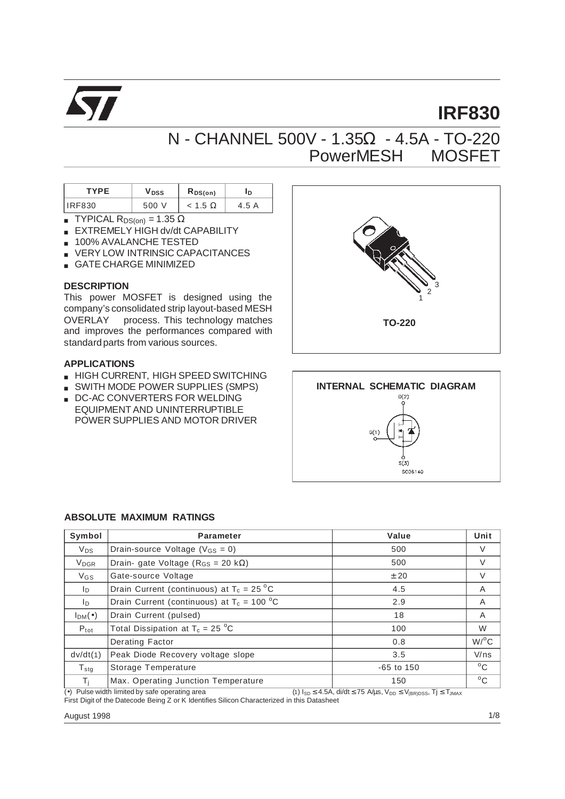

# **IRF830**

## N - CHANNEL 500V - 1.35Ω - 4.5A - TO-220 PowerMESH<sup>TM</sup> MOSFET

| <b>TYPF</b>   | V DSS | $R_{DS(on)}$ | ٠D٠      |
|---------------|-------|--------------|----------|
| <b>IRF830</b> |       | < 1.5        | A<br>4.5 |

- **TYPICAL R**<sub>DS(on)</sub> = 1.35  $\Omega$
- EXTREMELY HIGH dv/dt CAPABILITY
- 100% AVALANCHE TESTED
- VERY LOW INTRINSIC CAPACITANCES
- GATE CHARGE MINIMIZED

#### **DESCRIPTION**

This power MOSFET is designed using the company's consolidated strip layout-based MESH OVERLAY<sup>TM</sup> process. This technology matches and improves the performances compared with standard parts from various sources.

#### **APPLICATIONS**

- HIGH CURRENT, HIGH SPEED SWITCHING
- SWITH MODE POWER SUPPLIES (SMPS)
- DC-AC CONVERTERS FOR WELDING EQUIPMENT AND UNINTERRUPTIBLE POWER SUPPLIES AND MOTOR DRIVER





#### **ABSOLUTE MAXIMUM RATINGS**

| Symbol                  | Parameter                                     | Value        | Unit               |
|-------------------------|-----------------------------------------------|--------------|--------------------|
| <b>V<sub>DS</sub></b>   | Drain-source Voltage ( $V_{GS} = 0$ )         | 500          | V                  |
| <b>V</b> <sub>DGR</sub> | Drain- gate Voltage ( $R_{GS} = 20 k\Omega$ ) | 500          | V                  |
| V <sub>GS</sub>         | Gate-source Voltage                           | ± 20         | V                  |
| In.                     | Drain Current (continuous) at $T_c = 25 °C$   | 4.5          | A                  |
| In.                     | Drain Current (continuous) at $T_c = 100 °C$  | 2.9          | A                  |
| $I_{DM}(\bullet)$       | Drain Current (pulsed)                        | 18           | A                  |
| $P_{\text{tot}}$        | Total Dissipation at $T_c = 25 \degree C$     | 100          | W                  |
|                         | Derating Factor                               | 0.8          | $W$ / $^{\circ}$ C |
| dv/dt(1)                | Peak Diode Recovery voltage slope             | 3.5          | V/ns               |
| $T_{\sf stq}$           | Storage Temperature                           | $-65$ to 150 | $^{\circ}$ C       |
| $T_i$                   | Max. Operating Junction Temperature           | 150          | $^{\circ}$ C       |

(•) Pulse width limited by safe operating area (1) I<sub>SD</sub>  $\leq$  4.5A, di/dt  $\leq$  75 A/µs, V<sub>DD</sub>  $\leq$  V<sub>(BR)DSS</sub>, Tj  $\leq$  T<sub>JMAX</sub> First Digit of the Datecode Being Z or K Identifies Silicon Characterized in this Datasheet

August 1998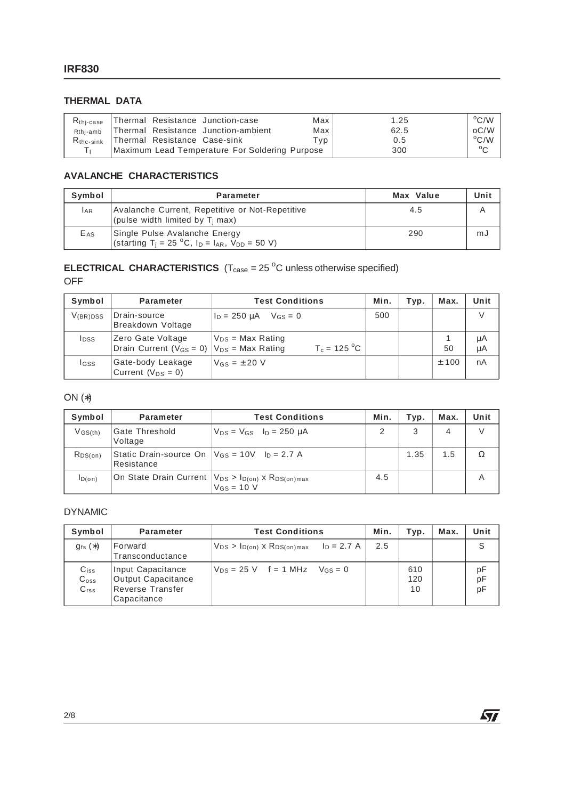### **THERMAL DATA**

| $Rthi-case$        | Thermal Resistance Junction-case               | Max I | 1.25 | $^{\circ}$ C/W $\parallel$ |
|--------------------|------------------------------------------------|-------|------|----------------------------|
| Rthi-amb           | Thermal Resistance Junction-ambient            | Max   | 62.5 | oC/W                       |
| $R_{\rm thc-sink}$ | Thermal Resistance Case-sink                   | Tvp   | 0.5  | $\rm ^{o}C/W$              |
|                    | Maximum Lead Temperature For Soldering Purpose |       | 300  | $\sim$                     |

#### **AVALANCHE CHARACTERISTICS**

| Symbol          | <b>Parameter</b>                                                                                                              | Max Value | Unit |
|-----------------|-------------------------------------------------------------------------------------------------------------------------------|-----------|------|
| <b>LAR</b>      | Avalanche Current, Repetitive or Not-Repetitive<br>(pulse width limited by $T_i$ max)                                         | 4.5       |      |
| E <sub>AS</sub> | Single Pulse Avalanche Energy<br>(starting T <sub>i</sub> = 25 °C, I <sub>D</sub> = I <sub>AR</sub> , V <sub>DD</sub> = 50 V) | 290       | mJ   |

#### **ELECTRICAL CHARACTERISTICS**  $(T_{\text{case}} = 25 \degree C \text{ unless otherwise specified})$ OFF

| Symbol        | <b>Parameter</b>                                                          | <b>Test Conditions</b>                  |     | Typ. | Max. | Unit     |
|---------------|---------------------------------------------------------------------------|-----------------------------------------|-----|------|------|----------|
| $V_{(BR)DSS}$ | Drain-source<br>Breakdown Voltage                                         | $I_D = 250 \mu A$ $V_{GS} = 0$          | 500 |      |      |          |
| <b>I</b> DSS  | Zero Gate Voltage<br>Drain Current ( $V_{GS} = 0$ ) $V_{DS} = Max Rating$ | $V_{DS}$ = Max Rating<br>$T_c = 125 °C$ |     |      | 50   | μA<br>μA |
| lgss          | Gate-body Leakage<br>Current $(V_{DS} = 0)$                               | $V$ <sub>GS</sub> = $\pm$ 20 V          |     |      | ±100 | nA       |

#### ON (∗)

| Symbol                             | <b>Parameter</b>                                                     | <b>Test Conditions</b>                                                                   | Min. | Typ. | Max. | Unit   |
|------------------------------------|----------------------------------------------------------------------|------------------------------------------------------------------------------------------|------|------|------|--------|
| $V$ <sub>GS<math>(th)</math></sub> | <b>Gate Threshold</b><br>Voltage                                     | $V_{DS}$ = $V_{GS}$ $I_D$ = 250 $\mu$ A                                                  |      | 3    | 4    | $\vee$ |
| $R_{DS(on)}$                       | Static Drain-source On $ V_{GS} = 10V$ $ _{D} = 2.7 A$<br>Resistance |                                                                                          |      | 1.35 | 1.5  |        |
| $I_{D(0n)}$                        |                                                                      | On State Drain Current $ V_{DS} > I_{D(on)} x R_{DS(on)max}$<br>$V$ <sub>GS</sub> = 10 V | 4.5  |      |      | A      |

#### DYNAMIC

| Symbol                                         | <b>Parameter</b>                                                                  | <b>Test Conditions</b>                                  | Min. | Typ.             | Max. | Unit           |
|------------------------------------------------|-----------------------------------------------------------------------------------|---------------------------------------------------------|------|------------------|------|----------------|
| $q_{fs}(*)$                                    | Forward<br>Transconductance                                                       | $V_{DS} > I_{D(on)} \times R_{DS(on)max}$ $I_D = 2.7$ A | 2.5  |                  |      | S              |
| $C_{iss}$<br>$C_{\rm oss}$<br>C <sub>rss</sub> | Input Capacitance<br><b>Output Capacitance</b><br>Reverse Transfer<br>Capacitance | $V_{DS} = 25$ V f = 1 MHz $V_{GS} = 0$                  |      | 610<br>120<br>10 |      | pF<br>pF<br>pF |

 $\sqrt{2}$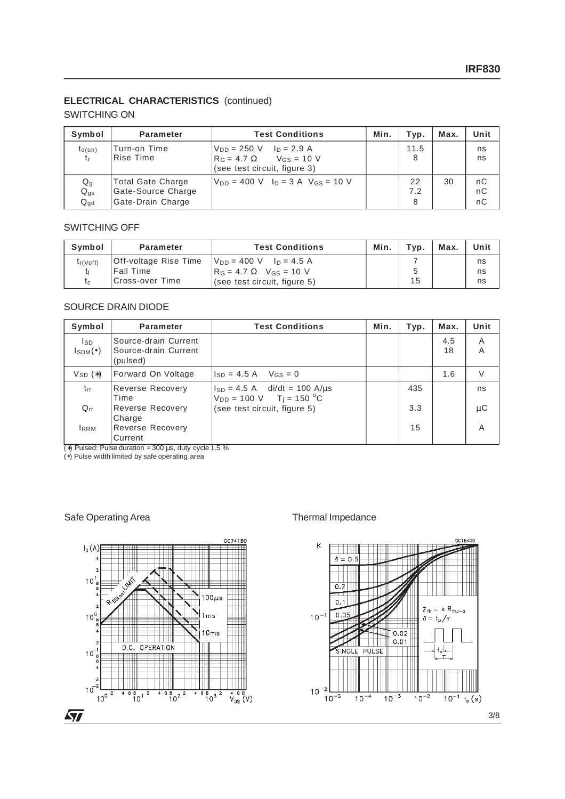#### **ELECTRICAL CHARACTERISTICS** (continued)

#### SWITCHING ON

| Symbol                     | <b>Parameter</b>                                             | <b>Test Conditions</b>                                                                               | Min. | Typ.           | Max. | Unit           |
|----------------------------|--------------------------------------------------------------|------------------------------------------------------------------------------------------------------|------|----------------|------|----------------|
| $t_{d(on)}$<br>t,          | Turn-on Time<br>Rise Time                                    | $V_{DD} = 250$ V $I_D = 2.9$ A<br>$R_G = 4.7 \Omega$ $V_{GS} = 10 V$<br>(see test circuit, figure 3) |      | 11.5<br>8      |      | ns<br>ns       |
| Qg<br>$Q_{gs}$<br>$Q_{gd}$ | Total Gate Charge<br>Gate-Source Charge<br>Gate-Drain Charge | $V_{DD} = 400$ V $I_D = 3$ A $V_{GS} = 10$ V                                                         |      | 22<br>7.2<br>8 | 30   | nC<br>nC<br>nC |

#### SWITCHING OFF

| Symbol       | <b>Parameter</b>      | <b>Test Conditions</b>                         | Min. | Typ. | Max. | Unit |
|--------------|-----------------------|------------------------------------------------|------|------|------|------|
| $t_f$ (Voff) | Off-voltage Rise Time | $V_{DD} = 400 \text{ V}$ $I_D = 4.5 \text{ A}$ |      |      |      | ns   |
|              | <b>Fall Time</b>      | $R_G = 4.7 \Omega$ V <sub>GS</sub> = 10 V      |      |      |      | ns   |
| t.           | Cross-over Time       | (see test circuit, figure 5)                   |      | 15   |      | ns   |

#### SOURCE DRAIN DIODE

| Symbol                                       | <b>Parameter</b>                                         | <b>Test Conditions</b>                                                                | Min. | Typ. | Max.      | Unit   |
|----------------------------------------------|----------------------------------------------------------|---------------------------------------------------------------------------------------|------|------|-----------|--------|
| I <sub>SD</sub><br>$I_{\text{SDM}}(\bullet)$ | Source-drain Current<br>Source-drain Current<br>(pulsed) |                                                                                       |      |      | 4.5<br>18 | A<br>A |
| $V_{SD}$ $(*)$                               | Forward On Voltage                                       | $I_{SD} = 4.5 A$ $V_{GS} = 0$                                                         |      |      | 1.6       | V      |
| $t_{rr}$                                     | Reverse Recovery<br>Time                                 | $I_{SD} = 4.5$ A di/dt = 100 A/us<br>$V_{DD} = 100 \text{ V}$ T <sub>i</sub> = 150 °C |      | 435  |           | ns     |
| $Q_{rr}$                                     | <b>Reverse Recovery</b><br>Charge                        | (see test circuit, figure 5)                                                          |      | 3.3  |           | μC     |
| <b>IRRM</b>                                  | Reverse Recovery<br>Current                              |                                                                                       |      | 15   |           | A      |

(∗) Pulsed: Pulse duration = 300 µs, duty cycle 1.5 %

(•) Pulse width limited by safe operating area

#### Safe Operating Area Thermal Impedance



nos Ranc

 $10^{-1}$  t<sub>p</sub> (s)

 $Z_{\text{th}} = k R_{\text{thJ-c}}$ 

 $\delta = \ensuremath{\dagger_{\mathrm{p}}}\xspace/\tau$ 

 $10^{-2}$ 

 $0.02$ 

 $0.01$ 

 $10^{-3}$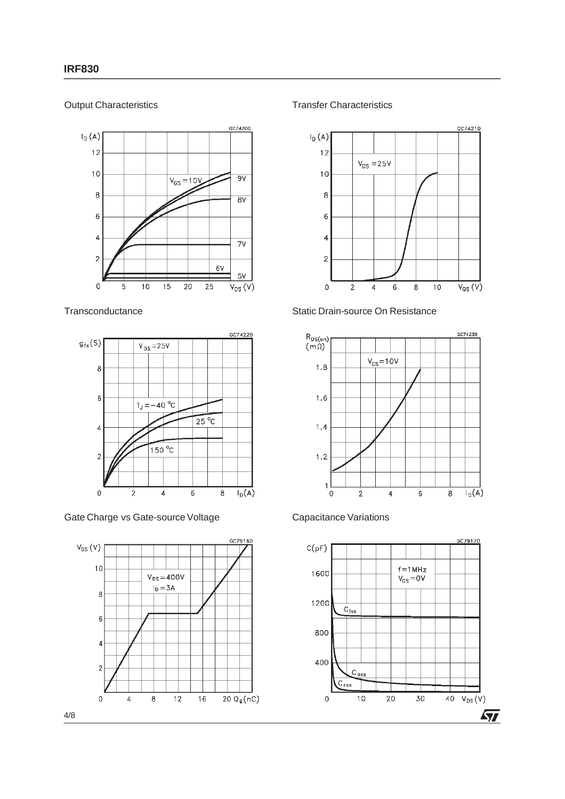#### Output Characteristics



**Transconductance** 



Gate Charge vs Gate-source Voltage



Transfer Characteristics



#### Static Drain-source On Resistance





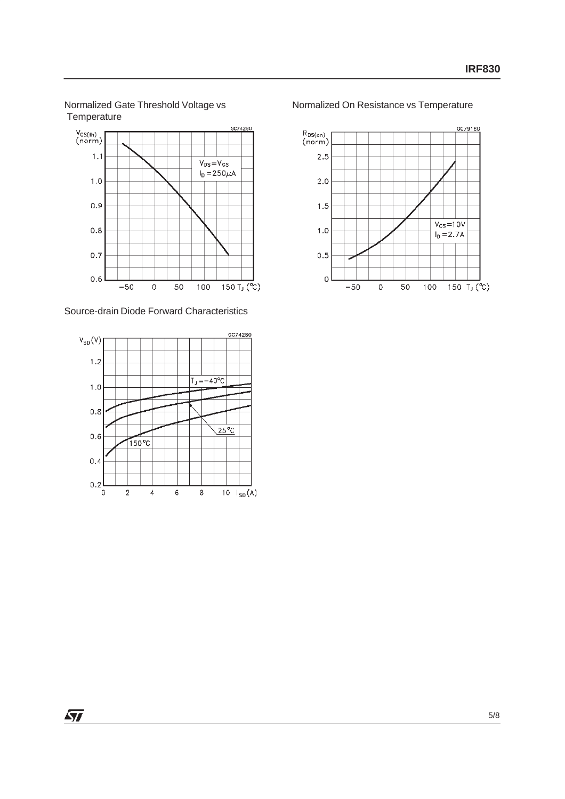



Source-drain Diode Forward Characteristics



Normalized On Resistance vs Temperature



 $\sqrt{27}$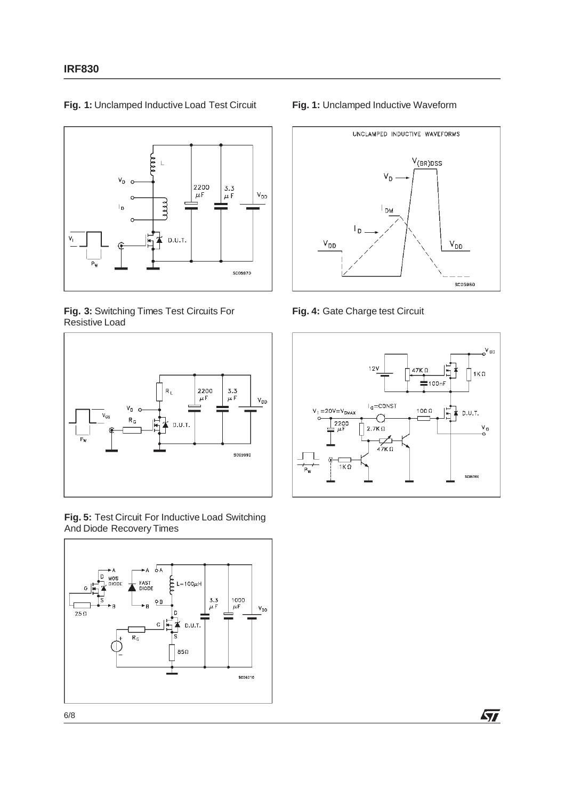

**Fig. 1:** Unclamped Inductive Load Test Circuit

**Fig. 3:** Switching Times Test Circuits For Resistive Load



**Fig. 5:** Test Circuit For Inductive Load Switching And Diode Recovery Times



#### **Fig. 1:** Unclamped Inductive Waveform



**Fig. 4:** Gate Charge test Circuit



勾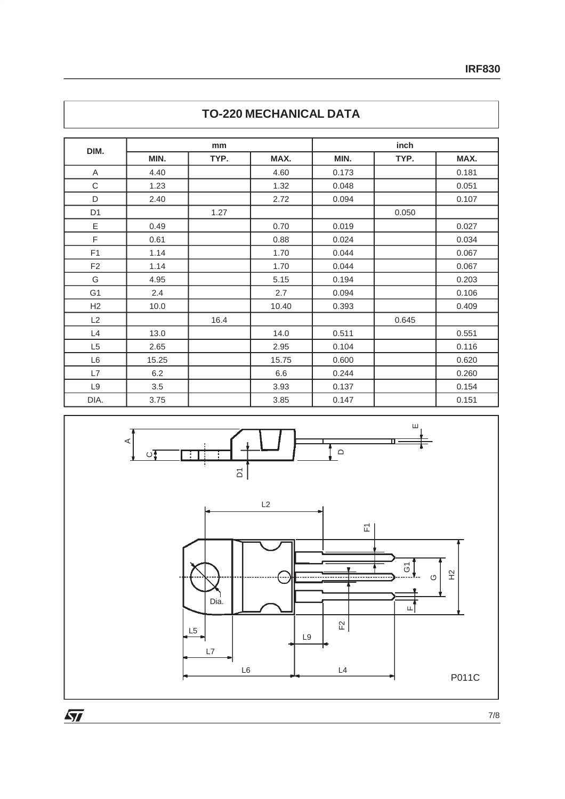| DIM.           |       | mm   |       | inch  |       |       |  |
|----------------|-------|------|-------|-------|-------|-------|--|
|                | MIN.  | TYP. | MAX.  | MIN.  | TYP.  | MAX.  |  |
| Α              | 4.40  |      | 4.60  | 0.173 |       | 0.181 |  |
| C              | 1.23  |      | 1.32  | 0.048 |       | 0.051 |  |
| D              | 2.40  |      | 2.72  | 0.094 |       | 0.107 |  |
| D <sub>1</sub> |       | 1.27 |       |       | 0.050 |       |  |
| Ε              | 0.49  |      | 0.70  | 0.019 |       | 0.027 |  |
| F              | 0.61  |      | 0.88  | 0.024 |       | 0.034 |  |
| F <sub>1</sub> | 1.14  |      | 1.70  | 0.044 |       | 0.067 |  |
| F <sub>2</sub> | 1.14  |      | 1.70  | 0.044 |       | 0.067 |  |
| G              | 4.95  |      | 5.15  | 0.194 |       | 0.203 |  |
| G <sub>1</sub> | 2.4   |      | 2.7   | 0.094 |       | 0.106 |  |
| H2             | 10.0  |      | 10.40 | 0.393 |       | 0.409 |  |
| L2             |       | 16.4 |       |       | 0.645 |       |  |
| L4             | 13.0  |      | 14.0  | 0.511 |       | 0.551 |  |
| L <sub>5</sub> | 2.65  |      | 2.95  | 0.104 |       | 0.116 |  |
| L6             | 15.25 |      | 15.75 | 0.600 |       | 0.620 |  |
| L7             | 6.2   |      | 6.6   | 0.244 |       | 0.260 |  |
| L9             | 3.5   |      | 3.93  | 0.137 |       | 0.154 |  |
| DIA.           | 3.75  |      | 3.85  | 0.147 |       | 0.151 |  |

## **TO-220 MECHANICAL DATA**



 $\sqrt{27}$